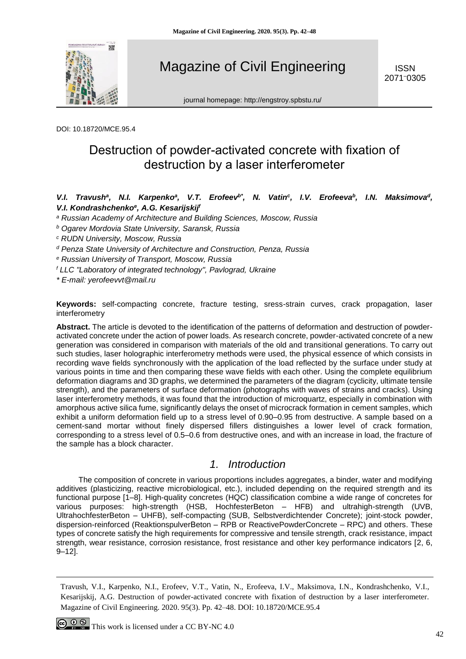

Magazine of Civil Engineering

ISSN 2071–0305

journal homepage: http://engstroy.spbstu.ru/

DOI: 10.18720/MCE.95.4

# Destruction of powder-activated concrete with fixation of destruction by a laser interferometer

### V.I. Travush<sup>a</sup>, N.I. Karpenko<sup>a</sup>, V.T. Erofeev<sup>b\*</sup>, N. Vatin<sup>c</sup>, I.V. Erofeeva<sup>b</sup>, I.N. Maksimova<sup>d</sup>, *V.I. Kondrashchenko<sup>e</sup> , A.G. Kesarijskij<sup>f</sup>*

- *<sup>a</sup> Russian Academy of Architecture and Building Sciences, Moscow, Russia*
- *<sup>b</sup> Ogarev Mordovia State University, Saransk, Russia*
- *<sup>c</sup> RUDN University, Moscow, Russia*
- *<sup>d</sup> Penza State University of Architecture and Construction, Penza, Russia*
- *<sup>e</sup> Russian University of Transport, Moscow, Russia*
- *<sup>f</sup> LLC "Laboratory of integrated technology", Pavlograd, Ukraine*

*\* E-mail: yerofeevvt@mail.ru*

**Keywords:** self-compacting concrete, fracture testing, sress-strain curves, crack propagation, laser interferometry

**Abstract.** The article is devoted to the identification of the patterns of deformation and destruction of powderactivated concrete under the action of power loads. As research concrete, powder-activated concrete of a new generation was considered in comparison with materials of the old and transitional generations. To carry out such studies, laser holographic interferometry methods were used, the physical essence of which consists in recording wave fields synchronously with the application of the load reflected by the surface under study at various points in time and then comparing these wave fields with each other. Using the complete equilibrium deformation diagrams and 3D graphs, we determined the parameters of the diagram (cyclicity, ultimate tensile strength), and the parameters of surface deformation (photographs with waves of strains and cracks). Using laser interferometry methods, it was found that the introduction of microquartz, especially in combination with amorphous active silica fume, significantly delays the onset of microcrack formation in cement samples, which exhibit a uniform deformation field up to a stress level of 0.90–0.95 from destructive. A sample based on a cement-sand mortar without finely dispersed fillers distinguishes a lower level of crack formation, corresponding to a stress level of 0.5–0.6 from destructive ones, and with an increase in load, the fracture of the sample has a block character.

# *1. Introduction*

The composition of concrete in various proportions includes aggregates, a binder, water and modifying additives (plasticizing, reactive microbiological, etc.), included depending on the required strength and its functional purpose [1–8]. High-quality concretes (HQC) classification combine a wide range of concretes for various purposes: high-strength (HSB, HochfesterBeton – HFB) and ultrahigh-strength (UVB, UltrahochfesterBeton – UHFB), self-compacting (SUB, Selbstverdichtender Concrete); joint-stock powder, dispersion-reinforced (ReaktionspulverВeton – RPB or ReactivePowderConcrete – RPC) and others. These types of concrete satisfy the high requirements for compressive and tensile strength, crack resistance, impact strength, wear resistance, corrosion resistance, frost resistance and other key performance indicators [2, 6, 9–12].

Travush, V.I., Karpenko, N.I., Erofeev, V.T., Vatin, N., Erofeeva, I.V., Maksimova, I.N., Kondrashchenko, V.I., Kesarijskij, A.G. Destruction of powder-activated concrete with fixation of destruction by a laser interferometer. Magazine of Civil Engineering. 2020. 95(3). Pp. 42–48. DOI: 10.18720/MCE.95.4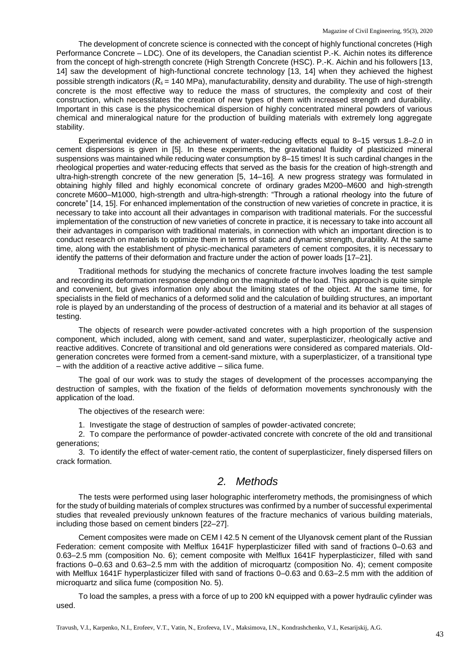The development of concrete science is connected with the concept of highly functional concretes (High Performance Concrete – LDC). One of its developers, the Canadian scientist P.-K. Aichin notes its difference from the concept of high-strength concrete (High Strength Concrete (HSC). P.-K. Aichin and his followers [13, 14] saw the development of high-functional concrete technology [13, 14] when they achieved the highest possible strength indicators  $(R_s = 140 \text{ MPa})$ , manufacturability, density and durability. The use of high-strength concrete is the most effective way to reduce the mass of structures, the complexity and cost of their construction, which necessitates the creation of new types of them with increased strength and durability. Important in this case is the physicochemical dispersion of highly concentrated mineral powders of various chemical and mineralogical nature for the production of building materials with extremely long aggregate stability.

Experimental evidence of the achievement of water-reducing effects equal to 8–15 versus 1.8–2.0 in cement dispersions is given in [5]. In these experiments, the gravitational fluidity of plasticized mineral suspensions was maintained while reducing water consumption by 8–15 times! It is such cardinal changes in the rheological properties and water-reducing effects that served as the basis for the creation of high-strength and ultra-high-strength concrete of the new generation [5, 14–16]. A new progress strategy was formulated in obtaining highly filled and highly economical concrete of ordinary grades M200–M600 and high-strength concrete M600–M1000, high-strength and ultra-high-strength: "Through a rational rheology into the future of concrete" [14, 15]. For enhanced implementation of the construction of new varieties of concrete in practice, it is necessary to take into account all their advantages in comparison with traditional materials. For the successful implementation of the construction of new varieties of concrete in practice, it is necessary to take into account all their advantages in comparison with traditional materials, in connection with which an important direction is to conduct research on materials to optimize them in terms of static and dynamic strength, durability. At the same time, along with the establishment of physic-mechanical parameters of cement composites, it is necessary to identify the patterns of their deformation and fracture under the action of power loads [17–21].

Traditional methods for studying the mechanics of concrete fracture involves loading the test sample and recording its deformation response depending on the magnitude of the load. This approach is quite simple and convenient, but gives information only about the limiting states of the object. At the same time, for specialists in the field of mechanics of a deformed solid and the calculation of building structures, an important role is played by an understanding of the process of destruction of a material and its behavior at all stages of testing.

The objects of research were powder-activated concretes with a high proportion of the suspension component, which included, along with cement, sand and water, superplasticizer, rheologically active and reactive additives. Concrete of transitional and old generations were considered as compared materials. Oldgeneration concretes were formed from a cement-sand mixture, with a superplasticizer, of a transitional type  $-$  with the addition of a reactive active additive  $-$  silica fume.

The goal of our work was to study the stages of development of the processes accompanying the destruction of samples, with the fixation of the fields of deformation movements synchronously with the application of the load.

The objectives of the research were:

1. Investigate the stage of destruction of samples of powder-activated concrete;

2. To compare the performance of powder-activated concrete with concrete of the old and transitional generations;

3. To identify the effect of water-cement ratio, the content of superplasticizer, finely dispersed fillers on crack formation.

# *2. Methods*

The tests were performed using laser holographic interferometry methods, the promisingness of which for the study of building materials of complex structures was confirmed by a number of successful experimental studies that revealed previously unknown features of the fracture mechanics of various building materials, including those based on cement binders [22–27].

Cement composites were made on CEM I 42.5 N cement of the Ulyanovsk cement plant of the Russian Federation: cement composite with Melflux 1641F hyperplasticizer filled with sand of fractions 0–0.63 and 0.63–2.5 mm (composition No. 6); cement composite with Melflux 1641F hyperplasticizer, filled with sand fractions 0–0.63 and 0.63–2.5 mm with the addition of microquartz (composition No. 4); cement composite with Melflux 1641F hyperplasticizer filled with sand of fractions 0–0.63 and 0.63–2.5 mm with the addition of microquartz and silica fume (composition No. 5).

To load the samples, a press with a force of up to 200 kN equipped with a power hydraulic cylinder was used.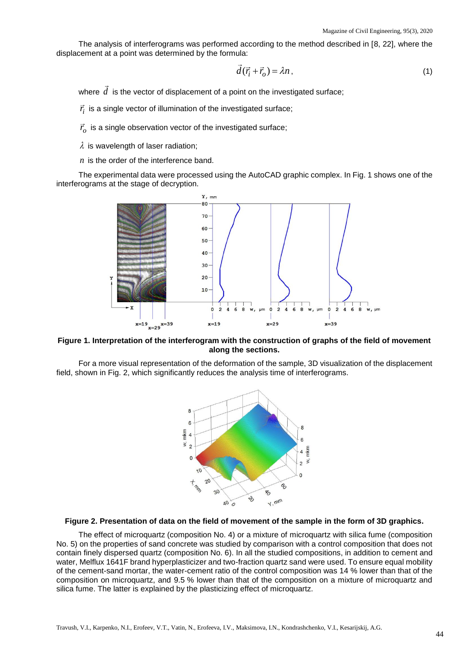The analysis of interferograms was performed according to the method described in [8, 22], where the displacement at a point was determined by the formula:

$$
\overline{d}(\overrightarrow{r}_i + \overrightarrow{r}_o) = \lambda n \,, \tag{1}
$$

where  $\,d\,$  is the vector of displacement of a point on the investigated surface;

 $\vec{r}_i$  is a single vector of illumination of the investigated surface;

 $\vec{r}_o$  is a single observation vector of the investigated surface;

 $\lambda$  is wavelength of laser radiation;

*n* is the order of the interference band.

The experimental data were processed using the AutoCAD graphic complex. In Fig. 1 shows one of the interferograms at the stage of decryption.



### **Figure 1. Interpretation of the interferogram with the construction of graphs of the field of movement along the sections.**

For a more visual representation of the deformation of the sample, 3D visualization of the displacement field, shown in Fig. 2, which significantly reduces the analysis time of interferograms.



#### **Figure 2. Presentation of data on the field of movement of the sample in the form of 3D graphics.**

The effect of microquartz (composition No. 4) or a mixture of microquartz with silica fume (composition No. 5) on the properties of sand concrete was studied by comparison with a control composition that does not contain finely dispersed quartz (composition No. 6). In all the studied compositions, in addition to cement and water, Melflux 1641F brand hyperplasticizer and two-fraction quartz sand were used. To ensure equal mobility of the cement-sand mortar, the water-cement ratio of the control composition was 14 % lower than that of the composition on microquartz, and 9.5 % lower than that of the composition on a mixture of microquartz and silica fume. The latter is explained by the plasticizing effect of microquartz.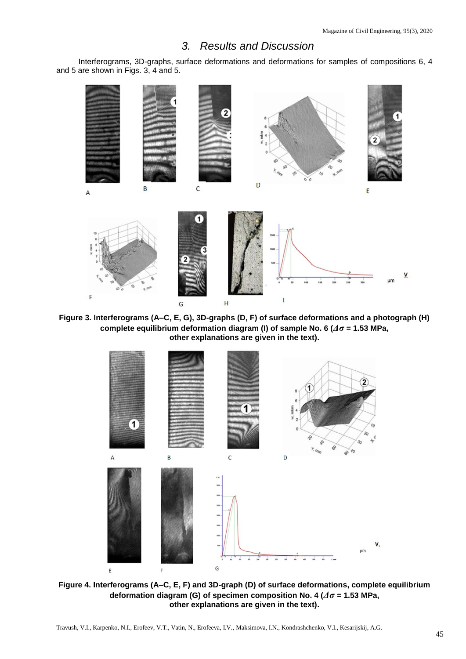# *3. Results and Discussion*

Interferograms, 3D-graphs, surface deformations and deformations for samples of compositions 6, 4 and 5 are shown in Figs. 3, 4 and 5.



**Figure 3. Interferograms (A–C, E, G), 3D-graphs (D, F) of surface deformations and a photograph (H) complete equilibrium deformation diagram (I) of sample No. 6 (***Δσ* **= 1.53 MPa, other explanations are given in the text).**



**Figure 4. Interferograms (A–C, E, F) and 3D-graph (D) of surface deformations, complete equilibrium deformation diagram (G) of specimen composition No. 4 (***Δσ* **= 1.53 MPa, other explanations are given in the text).**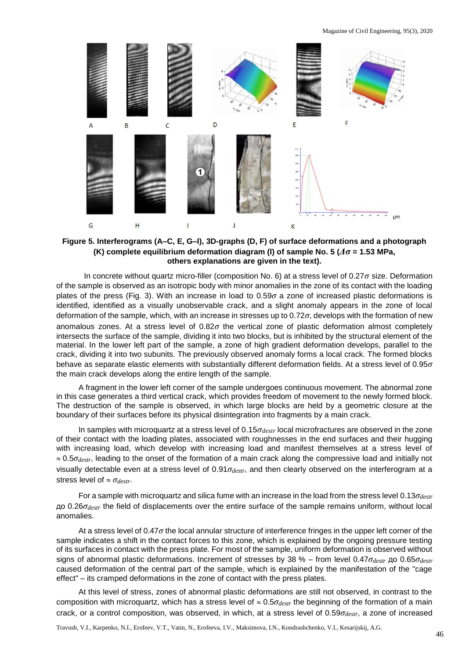Magazine of Civil Engineering, 95(3), 2020



### **Figure 5. Interferograms (A–C, E, G–I), 3D-graphs (D, F) of surface deformations and a photograph (K) complete equilibrium deformation diagram (l) of sample No. 5 (***Δσ* **= 1.53 MPa, others explanations are given in the text).**

In concrete without quartz micro-filler (composition No. 6) at a stress level of 0.27*σ* size. Deformation of the sample is observed as an isotropic body with minor anomalies in the zone of its contact with the loading plates of the press (Fig. 3). With an increase in load to 0.59*σ* a zone of increased plastic deformations is identified, identified as a visually unobservable crack, and a slight anomaly appears in the zone of local deformation of the sample, which, with an increase in stresses up to 0.72*σ*, develops with the formation of new anomalous zones. At a stress level of 0.82*σ* the vertical zone of plastic deformation almost completely intersects the surface of the sample, dividing it into two blocks, but is inhibited by the structural element of the material. In the lower left part of the sample, a zone of high gradient deformation develops, parallel to the crack, dividing it into two subunits. The previously observed anomaly forms a local crack. The formed blocks behave as separate elastic elements with substantially different deformation fields. At a stress level of 0.95*σ* the main crack develops along the entire length of the sample.

A fragment in the lower left corner of the sample undergoes continuous movement. The abnormal zone in this case generates a third vertical crack, which provides freedom of movement to the newly formed block. The destruction of the sample is observed, in which large blocks are held by a geometric closure at the boundary of their surfaces before its physical disintegration into fragments by a main crack.

In samples with microquartz at a stress level of 0.15*σdestr* local microfractures are observed in the zone of their contact with the loading plates, associated with roughnesses in the end surfaces and their hugging with increasing load, which develop with increasing load and manifest themselves at a stress level of 0.5*σdestr*, leading to the onset of the formation of a main crack along the compressive load and initially not visually detectable even at a stress level of 0.91*σdestr*, and then clearly observed on the interferogram at a stress level of *σdestr*.

For a sample with microquartz and silica fume with an increase in the load from the stress level 0.13*σdestr* до 0.26*σdestr* the field of displacements over the entire surface of the sample remains uniform, without local anomalies.

At a stress level of 0.47*σ* the local annular structure of interference fringes in the upper left corner of the sample indicates a shift in the contact forces to this zone, which is explained by the ongoing pressure testing of its surfaces in contact with the press plate. For most of the sample, uniform deformation is observed without signs of abnormal plastic deformations. Increment of stresses by 38 % – from level 0.47*σdestr* до 0.65*σdestr* caused deformation of the central part of the sample, which is explained by the manifestation of the "cage effect" – its cramped deformations in the zone of contact with the press plates.

At this level of stress, zones of abnormal plastic deformations are still not observed, in contrast to the composition with microquartz, which has a stress level of 0.5*σdestr* the beginning of the formation of a main crack, or a control composition, was observed, in which, at a stress level of 0.59*σdestr*, a zone of increased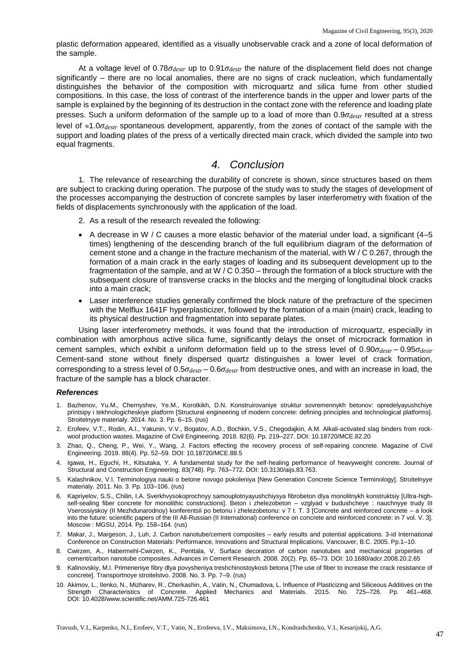plastic deformation appeared, identified as a visually unobservable crack and a zone of local deformation of the sample.

At a voltage level of 0.78*σdestr* up to 0.91*σdestr* the nature of the displacement field does not change significantly – there are no local anomalies, there are no signs of crack nucleation, which fundamentally distinguishes the behavior of the composition with microquartz and silica fume from other studied compositions. In this case, the loss of contrast of the interference bands in the upper and lower parts of the sample is explained by the beginning of its destruction in the contact zone with the reference and loading plate presses. Such a uniform deformation of the sample up to a load of more than 0.9*σdestr* resulted at a stress level of 1.0*σdestr* spontaneous development, apparently, from the zones of contact of the sample with the support and loading plates of the press of a vertically directed main crack, which divided the sample into two equal fragments.

### *4. Conclusion*

1. The relevance of researching the durability of concrete is shown, since structures based on them are subject to cracking during operation. The purpose of the study was to study the stages of development of the processes accompanying the destruction of concrete samples by laser interferometry with fixation of the fields of displacements synchronously with the application of the load.

- 2. As a result of the research revealed the following:
- $\bullet$  A decrease in W / C causes a more elastic behavior of the material under load, a significant (4–5) times) lengthening of the descending branch of the full equilibrium diagram of the deformation of cement stone and a change in the fracture mechanism of the material, with W / C 0.267, through the formation of a main crack in the early stages of loading and its subsequent development up to the fragmentation of the sample, and at W / C 0.350 – through the formation of a block structure with the subsequent closure of transverse cracks in the blocks and the merging of longitudinal block cracks into a main crack;
- Laser interference studies generally confirmed the block nature of the prefracture of the specimen with the Melflux 1641F hyperplasticizer, followed by the formation of a main (main) crack, leading to its physical destruction and fragmentation into separate plates.

Using laser interferometry methods, it was found that the introduction of microquartz, especially in combination with amorphous active silica fume, significantly delays the onset of microcrack formation in cement samples, which exhibit a uniform deformation field up to the stress level of 0.90*σdestr* – 0.95*σdestr* Cement-sand stone without finely dispersed quartz distinguishes a lower level of crack formation, corresponding to a stress level of 0.5*σdestr* – 0.6*σdestr* from destructive ones, and with an increase in load, the fracture of the sample has a block character.

#### *References*

- 1. Bazhenov, Yu.M., Chernyshev, Ye.M., Korotkikh, D.N. Konstruirovaniye struktur sovremennykh betonov: opredelyayushchiye printsipy i tekhnologicheskiye platform [Structural engineering of modern concrete: defining principles and technological platforms]. Stroitelnyye materialy. 2014. No. 3. Pp. 6–15. (rus)
- 2. Erofeev, V.T., Rodin, A.I., Yakunin, V.V., Bogatov, A.D., Bochkin, V.S., Chegodajkin, A.M. Alkali-activated slag binders from rockwool production wastes. Magazine of Civil Engineering. 2018. 82(6). Pp. 219–227. DOI: 10.18720/MCE.82.20
- 3. Zhao, Q., Cheng, P., Wei, Y., Wang, J. Factors effecting the recovery process of self-repairing concrete. Magazine of Civil Engineering. 2019. 88(4). Pp. 52–59. DOI: 10.18720/MCE.88.5
- 4. Igawa, H., Eguchi, H., Kitsutaka, Y. A fundamental study for the self-healing performance of heavyweight concrete. Journal of Structural and Construction Engineering. 83(748). Pp. 763–772. DOI: 10.3130/aijs.83.763.
- 5. Kalashnikov, V.I. Terminologiya nauki o betone novogo pokoleniya [New Generation Concrete Science Terminology]. Stroitelnyye materialy. 2011. No. 3. Pp. 103–106. (rus)
- 6. Kapriyelov, S.S., Chilin, I.A. Sverkhvysokoprochnyy samouplotnyayushchiysya fibrobeton dlya monolitnykh konstruktsiy [Ultra-highself-sealing fiber concrete for monolithic constructions]. Beton i zhelezobeton – vzglyad v budushcheye : nauchnyye trudy III Vserossiyskoy (II Mezhdunarodnoy) konferentsii po betonu i zhelezobetonu: v 7 t. T. 3 [Concrete and reinforced concrete – a look into the future: scientific papers of the III All-Russian (II International) conference on concrete and reinforced concrete: in 7 vol. V. 3]. Moscow : MGSU, 2014. Pp. 158–164. (rus)
- 7. Makar, J., Margeson, J., Luh, J. Carbon nanotube/cement composites early results and potential applications. 3-id International Conference on Construction Materials: Performance, Innovations and Structural Implications. Vancouver, B.C. 2005. Pp.1–10.
- 8. Cwirzen, A., Habermehl-Cwirzen, K., Penttala, V. Surface decoration of carbon nanotubes and mechanical properties of cement/carbon nanotube composites. Advances in Cement Research. 2008. 20(2). Pp. 65–73. DOI: 10.1680/adcr.2008.20.2.65
- 9. Kalinovskiy, M.I. Primeneniye fibry dlya povysheniya treshchinostoykosti betona [The use of fiber to increase the crack resistance of concrete]. Transportnoye stroitelstvo. 2008. No. 3. Pp. 7–9. (rus)
- 10. Akimov, L., Ilenko, N., Mizharev, R., Cherkashin, A., Vatin, N., Chumadova, L. Influence of Plasticizing and Siliceous Additives on the Strength Characteristics of Concrete. Applied Mechanics and Materials. 2015. No. 725–726. Pp. 461–468. DOI: 10.4028/www.scientific.net/AMM.725-726.461